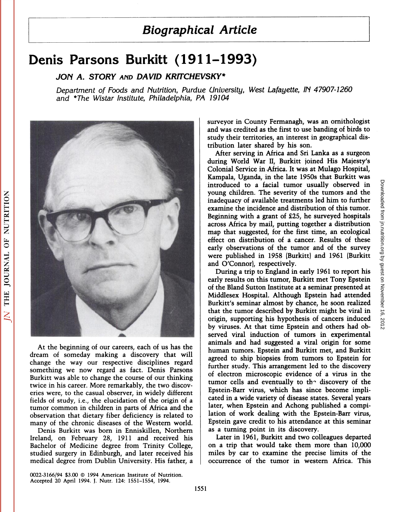## *Biographical Article*

## Biographical Article<br>Denis Parsons Burkitt (1911–1993)<br>JON A. STORY AND DAVID KRITCHEVSKY\* Biographical Arti<br>
S Parsons Burkitt (1911–199<br>
JON A. STORY AND DAVID KRITCHEVSKY\*

**S Parsons Burkitt (1911–1993)**<br>JON A. STORY AND DAVID KRITCHEVSKY\*<br>Department of Foods and Nutrition, Purdue University, West Lafayette, IN 47907-1260<br>and \*The Wistar Institute, Philadelphia, PA 19104 **8 Parsons Burkitt (1911–1993)**<br>*JON A. STORY AND DAVID KRITCHEVSKY\**<br>Department of Foods and Nutrition, Purdue University, Wand \*The Wistar Institute, Philadelphia, PA 19104 Department of Foods and Nutrition, Purdue University, West Lafayette, IN 47907-1260<br>and \*The Wistar Institute, Philadelphia, PA 19104<br>surveyor in County Fermanagh, was an ornithologist<br>and was credited as the first to use



by<br>
At the beginning of our careers, each of us has the<br>
dream of someday making a discovery that will<br>
change the way our respective disciplines regard<br>
something we now regard as fact. Denis Parsons<br>
of the something of At the beginning of our careers, each of us has the<br>dream of someday making a discovery that will<br>change the way our respective disciplines regard<br>something we now regard as fact. Denis Parsons<br>Burkitt was able to change t At the beginning of our careers, each of us has the<br>dream of someday making a discovery that will<br>change the way our respective disciplines regard<br>something we now regard as fact. Denis Parsons<br>Burkitt was able to change t At the beginning of our careers, each of us has the<br>dream of someday making a discovery that will<br>change the way our respective disciplines regard<br>something we now regard as fact. Denis Parsons<br>Burkitt was able to change dream of someday making a discovery that will<br>change the way our respective disciplines regard<br>something we now regard as fact. Denis Parsons<br>Burkitt was able to change the course of our thinking<br>twice in his career. More change the way our respective disciplines regard<br>
something we now regard as fact. Denis Parsons<br>
Burkitt was able to change the course of our thinking<br>
twice in his career. More remarkably, the two discov-<br>
eries were, to something we now regard as fact. Denis Parsons<br>Burkitt was able to change the course of our thinking<br>twice in his career. More remarkably, the two discov-<br>eries were, to the casual observer, in widely different<br>fields of Burkitt was able to change the course of our thinking<br>twice in his career. More remarkably, the two discov-<br>eries were, to the casual observer, in widely different<br>fields of study, i.e., the elucidation of the origin of a twice in his career. More remarkably, the two discoveries were, to the casual observer, in widely different<br>fields of study, i.e., the elucidation of the origin of a<br>tumor common in children in parts of Africa and the<br>obse es were, to the casual observer, in widely different<br>
lds of study, i.e., the elucidation of the origin of a<br>
mor common in children in parts of Africa and the<br>
servation that dietary fiber deficiency is related to<br>
iny of Fields of study, i.e., the elucidation of the origin of a<br>tumor common in children in parts of Africa and the<br>observation that dietary fiber deficiency is related to<br>many of the chronic diseases of the Western world.<br>Denis

tumor common in children in parts of Africa and the<br>observation that dietary fiber deficiency is related to<br>many of the chronic diseases of the Western world.<br>Denis Burkitt was born in Enniskillen, Northern<br>Ireland, on Feb observation that dietary fiber deficiency is related to<br>
many of the chronic diseases of the Western world.<br>
Denis Burkitt was born in Enniskillen, Northern<br>
Ireland, on February 28, 1911 and received his<br>
Bachelor of Medi many of the chronic diseases of the Western world.<br>
Denis Burkitt was born in Enniskillen, Northern<br>
Ireland, on February 28, 1911 and received his<br>
Bachelor of Medicine degree from Trinity College,<br>
studied surgery in Ed Bachelor of Medicine degree from Trinity College<br>studied surgery in Edinburgh, and later received himedical degree from Dublin University. His father,<br>0022-3166/94 \$3.00 © 1994 American Institute of Nutrition.<br>Accepted 20 Bachelof of Medicine degree Hoff Triffly Constrained Surgery in Edinburgh, and later received medical degree from Dublin University. His fath<br>0022-3166/94 \$3.00 © 1994 American Institute of Nutrition<br>Accepted 20 April 1994

Ghiversity, West Lafayette, 119 47907-1260<br>19104<br>surveyor in County Fermanagh, was an ornithologist<br>and was credited as the first to use banding of birds to<br>study their territories, an interest in geographical disstudy their territories, an interest in geographical distribution later shared by his son.<br>After serving in Africa and Sri Lanka as a surgeon tribution later shared by his son. rveyor in County Fermanagh, was an ornithologist<br>d was credited as the first to use banding of birds to<br>dy their territories, an interest in geographical dis-<br>bution later shared by his son.<br>After serving in Africa and Sri surveyor in County Fermanagh, was an ornithologist<br>and was credited as the first to use banding of birds to<br>study their territories, an interest in geographical dis-<br>tribution later shared by his son.<br>After serving in Afri

and was credited as the first to use banding of birds to<br>study their territories, an interest in geographical dis-<br>tribution later shared by his son.<br>After serving in Africa and Sri Lanka as a surgeon<br>during World War II, study their territories, an interest in geographical distribution later shared by his son.<br>
After serving in Africa and Sri Lanka as a surgeon<br>
during World War II, Burkitt joined His Majesty's<br>
Colonial Service in Africa tribution later shared by his son.<br>
After serving in Africa and Sri Lanka as a surgeon<br>
during World War II, Burkitt joined His Majesty's<br>
Colonial Service in Africa. It was at Mulago Hospital,<br>
Kampala, Uganda, in the la After serving in Africa and Sri Lanka as a surgeon<br>during World War II, Burkitt joined His Majesty's<br>Colonial Service in Africa. It was at Mulago Hospital,<br>Kampala, Uganda, in the late 1950s that Burkitt was<br>introduced to during World War II, Burkitt joined His Majesty's<br>Colonial Service in Africa. It was at Mulago Hospital,<br>Kampala, Uganda, in the late 1950s that Burkitt was<br>introduced to a facial tumor usually observed in<br>young children. Colonial Service in Africa. It was at Mulago Hospital,<br>Kampala, Uganda, in the late 1950s that Burkitt was<br>introduced to a facial tumor usually observed in<br>young children. The severity of the tumors and the<br>inadequacy of a Kampala, Uganda, in the late 1950s that Burkitt was<br>introduced to a facial tumor usually observed in<br>young children. The severity of the tumors and the<br>inadequacy of available treatments led him to further<br>examine the inc introduced to a facial tumor usually observed in<br>young children. The severity of the tumors and the<br>inadequacy of available treatments led him to further<br>examine the incidence and distribution of this tumor.<br>Beginning wit young children. The severity of the tumors and the<br>inadequacy of available treatments led him to further<br>examine the incidence and distribution of this tumor.<br>Beginning with a grant of £25, he surveyed hospitals<br>across Afr madequacy of available treatments led him to further<br>examine the incidence and distribution of this tumor.<br>Beginning with a grant of £25, he surveyed hospitals<br>across Africa by mail, putting together a distribution<br>map th examine the incidence and distribution of this tumor.<br>Beginning with a grant of £25, he surveyed hospitals<br>across Africa by mail, putting together a distribution<br>map that suggested, for the first time, an ecological<br>effec Beginning with a grant of £25, he surveyed hospitals<br>across Africa by mail, putting together a distribution<br>map that suggested, for the first time, an ecological<br>effect on distribution of a cancer. Results of these<br>early o introduced to a facial tumor usually observed in<br>young children. The severity of the tumors and the<br>inadequacy of available treatments led him to further<br>examine the incidence and distribution of this tumor.<br>Beginning wit early observations of the tumor and of the survey<br>early observations of the tumor and of the survey<br>were published in 1958 (Burkitt) and 1961 (Burkitt  $\frac{a}{g}$ <br>and O'Connor), respectively.<br>During a trip to England in ear

by guest on November 16, 2012 [jn.nutrition.org](http://jn.nutrition.org/) Downloaded from

that the tumor described by Burkitt might be viral in<br>origin, supporting his hypothesis of cancers induced<br>by viruses. At that time Epstein and others had ob-<br>served viral induction of tumors in experimental<br>animals and ha early observations of the tumor and of the survey<br>were published in 1958 (Burkitt) and 1961 (Burkitt<br>and O'Connor), respectively.<br>During a trip to England in early 1961 to report his<br>early results on this tumor, Burkitt m were published in 1958 (Burkitt) and 1961 (Burkitt)<br>and O'Connor), respectively.<br>During a trip to England in early 1961 to report his<br>early results on this tumor, Burkitt met Tony Epstein<br>of the Bland Sutton Institute at During a trip to England in early 1961 to report his<br>early results on this tumor, Burkitt met Tony Epstein<br>of the Bland Sutton Institute at a seminar presented at<br> $\frac{2}{5}$ <br>Middlesex Hospital. Although Epstein had attende early results on this tumor, Burkitt met Tony Epstein<br>of the Bland Sutton Institute at a seminar presented at<br>Middlesex Hospital. Although Epstein had attended<br>Burkitt's seminar almost by chance, he soon realized<br>that the of the Bland Sutton Institute at a seminar presented at<br>
Middlesex Hospital. Although Epstein had attended<br>
Burkitt's seminar almost by chance, he soon realized<br>
that the tumor described by Burkitt might be viral in<br>
orig Middlesex Hospital. Although Epstein had attended<br>Burkitt's seminar almost by chance, he soon realized<br>that the tumor described by Burkitt might be viral in<br>origin, supporting his hypothesis of cancers induced<br>by viruses. Burkitt's seminar almost by chance, he soon realized  $\frac{6}{9}$ <br>that the tumor described by Burkitt might be viral in<br>origin, supporting his hypothesis of cancers induced<br>by viruses. At that time Epstein and others had obthat the tumor described by Burkitt might be viral in<br>origin, supporting his hypothesis of cancers induced<br>by viruses. At that time Epstein and others had ob-<br>served viral induction of tumors in experimental<br>animals and ha origin, supporting his hypothesis of cancers induced<br>by viruses. At that time Epstein and others had ob-<br>served viral induction of tumors in experimental<br>animals and had suggested a viral origin for some<br>human tumors. Eps origin, supporting his hypothesis of cancers induced<br>by viruses. At that time Epstein and others had ob-<br>served viral induction of tumors in experimental<br>animals and had suggested a viral origin for some<br>human tumors. Eps served viral induction of tumors in experimental<br>animals and had suggested a viral origin for some<br>human tumors. Epstein and Burkitt met, and Burkitt<br>agreed to ship biopsies from tumors to Epstein for<br>further study. This a animals and had suggested a viral origin for some<br>human tumors. Epstein and Burkitt met, and Burkitt<br>agreed to ship biopsies from tumors to Epstein for<br>further study. This arrangement led to the discovery<br>of electron micr human tumors. Epstein and Burkitt met, and Burkitt<br>agreed to ship biopsies from tumors to Epstein for<br>further study. This arrangement led to the discovery<br>of electron microscopic evidence of a virus in the<br>tumor cells and agreed to ship biopsies from tumors to Epstein for<br>further study. This arrangement led to the discovery<br>of electron microscopic evidence of a virus in the<br>tumor cells and eventually to th<sup>1</sup> discovery of the<br>Epstein-Barr v further study. This arrangement led to the discovery<br>of electron microscopic evidence of a virus in the<br>tumor cells and eventually to the discovery of the<br>Epstein-Barr virus, which has since become impli-<br>cated in a wide v of electron microscopic evidence of a virus in the<br>tumor cells and eventually to the discovery of the<br>Epstein-Barr virus, which has since become impli-<br>cated in a wide variety of disease states. Several years<br>later, when E tumor cells and eventually to the discovery of the<br>Epstein-Barr virus, which has since become impli-<br>cated in a wide variety of disease states. Several years<br>later, when Epstein and Achong published a compi-<br>lation of work Epstein-Barr virus, which has since t<br>cated in a wide variety of disease states<br>later, when Epstein and Achong publi-<br>lation of work dealing with the Epste<br>Epstein gave credit to his attendance a<br>as a turning point in its red in a wide variety of disease states. Several years<br>er, when Epstein and Achong published a compi-<br>ion of work dealing with the Epstein-Barr virus,<br>stein gave credit to his attendance at this seminar<br>a turning point in later, when Epstein and Achong published a compi-<br>lation of work dealing with the Epstein-Barr virus,<br>Epstein gave credit to his attendance at this seminar<br>as a turning point in its discovery.<br>Later in 1961, Burkitt and tw

lation of work dealing with the Epstein-Barr virus,<br>Epstein gave credit to his attendance at this seminar<br>as a turning point in its discovery.<br>Later in 1961, Burkitt and two colleagues departed<br>on a trip that would take th Epstein gave credit to his attendance at this seminar<br>as a turning point in its discovery.<br>Later in 1961, Burkitt and two colleagues departed<br>on a trip that would take them more than 10,000<br>miles by car to examine the prec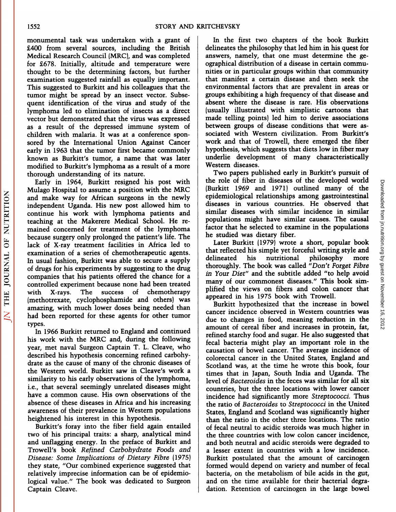1552<br>
STORY AND KRITCHEVSKY<br>
STORY AND KRITCHEVSKY 1552<br>
monumental task was undertaken with a grant of [15400 from several sources, including the British deli<br>
Medical Research Council (MRC), and was completed ans<br>
for £679. Initially, altitude and temperature were STORY AND KRITC<br>
monumental task was undertaken with a grant of<br>
f400 from several sources, including the British<br>
Medical Research Council (MRC), and was completed<br>
for £678. Initially, altitude and temperature were<br>
thou FORY AND KRITC<br>
monumental task was undertaken with a grant of<br>
for form several sources, including the British<br>
Medical Research Council (MRC), and was completed<br>
for £678. Initially, altitude and temperature were<br>
though STORT AND KN<br>
monumental task was undertaken with a grant of<br>
£400 from several sources, including the British<br>
Medical Research Council (MRC), and was completed<br>
for £678. Initially, altitude and temperature were<br>
thought monumental task was undertaken with a grant of<br>
£400 from several sources, including the British<br>
Medical Research Council (MRC), and was completed<br>
for £678. Initially, altitude and temperature were<br>
thought to be the det E400 from several sources, including the British<br>
Medical Research Council (MRC), and was completed<br>
for £678. Initially, altitude and temperature were<br>
thought to be the determining factors, but further<br>
examination sugge the spread by an insect of the spread by an insect of the spread by an insect vector. Subsequent identification of the virus and study of the lumphoma led to elimination of insects as a direct lumphoma led to elimination o For £678. Initially, altitude and temperature were<br>thought to be the determining factors, but further<br>examination suggested rainfall as equally important.<br>This suggested to Burkitt and his colleagues that the<br>tumor might b lymphoma led to elimination suppression the term of thought to be the determining factors, but further examination suggested rainfall as equally important.<br>This suggested to Burkitt and his colleagues that the tumor might examination suggested rainfall as equally important.<br>
This suggested to Burkitt and his colleagues that the virus was expressed<br>
quent identification of the virus and study of the absortance<br>
lymphoma led to elimination of This suggested to Burkitt and his colleagues that the<br>
tumor might be spread by an insect vector. Subsequent identification of the virus and study of the<br>
lymphoma led to elimination of insects as a direct<br>
vector but demo Find digitative a series and study of the spread by an insect vector. Subsequent identification of the virus and study of the absorption and study of the subsequent identification of the virus and study of the spontaneous tumor might be spread by an insect vector. Subsequently a high frequency of that disease and<br>quent identification of the virus and study of the<br>lymphoma led to elimination of insects as a direct<br>vector but demonstrated tha ductor that the tumor and that the virus was expressed<br>wector but demonstrated that the virus was expressed<br>as a result of the depressed immune system of<br>children with malaria. It was at a conference spon-<br>sored by the Int vector but demonstrated that the virus was expressed<br>
as a result of the depressed immune system of<br>
children with malaria. It was at a conference spon-<br>
sociated with We<br>
sociated with We<br>
sociated with We<br>
sociated with vector but demonstrated that the virus was expressed<br>as a result of the depressed immune system of<br>children with malaria. It was at a conference spon-<br>sored by the International Union Against Cancer<br>we<br>early in 1963 that t sored by the International Union Against Cancer<br>early in 1963 that the tumor first became commonly<br>known as Burkitt's tumor, a name that was later<br>modified to Burkitt's lymphoma as a result of a more<br>thorough understanding Figure 1.1 The international Union Against Cancer<br>
The Union Against Cancer<br>
The Union Against Cancer<br>
The Union Against Cancer<br>
Monomource of the Union Against Cancer<br>
Monomource of the Union<br>
The Union Against Cancer<br>
Th early in 1963 that the tumor first became commonly<br>
known as Burkitt's tumor, a name that was later<br>
modified to Burkitt's lymphoma as a result of a more<br>
thorough understanding of its nature.<br>
Early in 1964, Burkitt resig

behind modified to Burkitt's tumor, a name that was later<br>
modified to Burkitt's lymphoma as a result of a more<br>
thorough understanding of its nature.<br>
Early in 1964, Burkitt resigned his post with<br>
Mulago Hospital to assu independent Uganda. His new post allowed him to the Melevine at the Melevine at the Melevine and the Melevine and the Melevine and the Melevine and the Melevine and the Melevine and the Melevine and the Melevine and the Me continue to barkete symphoma as a result of a more<br>thorough understanding of its nature.<br>Early in 1964, Burkitt resigned his post with<br>mulago Hospital to assume a position with the MRC<br>and make way for African surgeons in Early in 1964, Burkitt resigned his post with<br>Mulago Hospital to assume a position with the MRC<br>and make way for African surgeons in the newly<br>independent Uganda. His new post allowed him to<br>continue his work with lymphoma mained concerned for treatment facilities in Africa led to<br>lack of X-ray treatment facilities in Africa surgery only prolonged the patient's life. The<br>lack of X-ray treatment facilities in Africa led to and make way for African surgcons in the hewry<br>
independent Uganda. His new post allowed him to<br>
continue his work with lymphoma patients and<br>
teaching at the Makerere Medical School. He re-<br>
pop<br>
mained concerned for trea independent Uganda. His new post allowed him to<br>continue his work with lymphoma patients and<br>teaching at the Makerere Medical School. He re-<br>mained concerned for treatment of the lymphoma<br>because surgery only prolonged the In teaching at the Makerere Medical School. He re-<br>
mained concerned for treatment of the lymphoma<br>
because surgery only prolonged the patient's life. The<br>
lack of X-ray treatment facilities in Africa led to<br>
lack of X-ray because surgery only prolonged the patient's life. The<br>lack of X-ray treatment facilities in Africa led to<br>examination of a series of chemotherapeutic agents.<br>In usual fashion, Burkitt was able to secure a supply<br>of drugs manical concerned for treatment of the symphometric because surgery only prolonged the patient's life. The<br>lack of X-ray treatment facilities in Africa led to<br>examination of a series of chemotherapeutic agents.<br>In usual fa Experience of X-ray treatment facilities in Africa led to<br>
lack of X-ray treatment facilities in Africa led to<br>
In usual fashion, Burkitt was able to secure a supply<br>
of drugs for his experiments by suggesting to the drug<br> examination of a series of chemotherapeutic agents.<br>
In usual fashion, Burkitt was able to secure a supply<br>
of drugs for his experiments by suggesting to the drug<br>
companies that his patients offered the chance for a<br>
mate (m usual fashion, Burkitt was able to secure a supply<br>
of drugs for his experiments by suggesting to the drug<br>
companies that his patients offered the chance for a<br>
controlled experiment because none had been treated<br>
wit amazing, with much lower doses being the drug<br>hot drugs for his experiments by suggesting to the drug<br>controlled experiment because none had been treated<br>with X-rays. The success of chemotherapy<br>(methotrexate, cyclophospha Franchischer and the subtitle added "to help avoid<br>companies that his patients offered the chance for a<br>controlled experiment because none had been treated<br>with X-rays. The success of chemotherapy<br>(methotrexate, cyclophosp types. The Straws. The success of chemotherapy<br>
th X-rays. The success of chemotherapy<br>
in agring, with much lower doses being needed than<br>
d been reported for these agents for other tumor<br>
lowes.<br>
In 1966 Burkitt returned to Eng With the MRC and, during the following<br>
amazing, with much lower doses being needed than<br>
had been reported for these agents for other tumor<br>
types.<br>
In 1966 Burkitt returned to England and continued<br>
his work with the MRC

amazing, with much lower doses being needed than<br>had been reported for these agents for other tumor<br>types.<br>In 1966 Burkitt returned to England and continued<br>his work with the MRC and, during the following<br>year, met naval S described his hypothesis concerning refined carbohy-<br>types. In 1966 Burkitt returned to England and continued<br>his work with the MRC and, during the following<br>described his hypothesis concerning refined carbohy-<br>drate as th types.<br>
In 1966 Burkitt returned to England and continued<br>
his work with the MRC and, during the following<br>
year, met naval Surgeon Captain T. L. Cleave, who<br>
described his hypothesis concerning refined carbohy-<br>
drate as types.<br>
In 1966 Burkitt returned to England and continued<br>
his work with the MRC and, during the following<br>
year, met naval Surgeon Captain T. L. Cleave, who<br>
described his hypothesis concerning refined carbohy-<br>
drate as In 1980 Bukket Fetanties to England and Commercies<br>his work with the MRC and, during the following<br>year, met naval Surgeon Captain T. L. Cleave, who<br>described his hypothesis concerning refined carbohy-<br>drate as the cause o i.e., that several seemingly unrelated diseases might<br>have as the cause of many of the chronic diseases of<br>the Western world. Burkitt saw in Cleave's work a<br>similarity to his early observations of the lymphoma,<br>i.e., that bases of their newsletted is in Metater as the cause of many of the chronic diseases of the Western world. Burkitt saw in Cleave's work a similarity to his early observations of the lymphoma, i.e., that several seemingly u drate as the cause of many of the chronic diseases of<br>the Western world. Burkitt saw in Cleave's work a<br>similarity to his early observations of the lymphoma,<br>i.e., that several seemingly unrelated diseases might<br>have a com able Western world. Burkitt saw in Cleave's work a<br>similarity to his early observations of the lymphoma,<br>i.e., that several seemingly unrelated diseases might<br>have a common cause. His own observations of the<br>absence of the have a common cause. His own observations of the lymphoma,<br>i.e., that several seemingly unrelated diseases might<br>have a common cause. His own observations of the<br>absence of these diseases in Africa and his increasing<br>aware that the set of these diseases in Africa and his increasing<br>have a common cause. His own observations of the incidence of these diseases in Africa and his increasing<br>heightened his interest in this hypothesis.<br>Burkitt's fo

France of these diseases in Africa and his increasing<br>
awareness of their prevalence in Western populations<br>
heightened his interest in this hypothesis.<br>
Burkitt's foray into the fiber field again entailed<br>
two of his prin **Discrete Some Implications of the interest in this hypothesis.**<br> **Discrete Algorithment** and unflagging energy. In the preface of Burkitt and<br> **EXECUTE:** Trowell's book Refined Carbohydrate Foods and Disease: Some Implica heightened his interest in this hypothesis.<br>
Burkitt's foray into the fiber field again entailed<br>
two of his principal traits: a sharp, analytical mind<br>
and unflagging energy. In the preface of Burkitt and<br>
Trowell's book burkitt's foray fillo the fiber field again entance<br>two of his principal traits: a sharp, analytical mind<br>and unflagging energy. In the preface of Burkitt and<br>Trowell's book *Refined Carbohydrate Foods and*<br>Disease: Some I two of his principal traits: a sharp, analytical mind<br>
and unflagging energy. In the preface of Burkitt and<br>
Trowell's book *Refined Carbohydrate Foods and*<br>
Disease: Some Implications of Dietary Fibre (1975)<br>
they state, and unflagging energy. In the preface of Burkitt and<br>Trowell's book *Refined Carbohydrate Foods and*<br>Disease: Some Implications of Dietary Fibre (1975)<br>they state, "Our combined experience suggested that<br>relatively impreci

CHEVSKY<br>
In the first two chapters of the book Burkitt<br>
lineates the philosophy that led him in his quest for<br>
swers, namely, that one must determine the ge ITCHEVSKY<br>In the first two chapters of the book Burkitt<br>delineates the philosophy that led him in his quest for<br>answers, namely, that one must determine the ge-<br>corraphical distribution of a disease in certain commu-ITCHEVSKY<br>
In the first two chapters of the book Burkitt<br>
delineates the philosophy that led him in his quest for<br>
answers, namely, that one must determine the ge-<br>
ographical distribution of a disease in certain commu-<br>
p ITCHEVSKY<br>In the first two chapters of the book Burkitt<br>delineates the philosophy that led him in his quest for<br>answers, namely, that one must determine the ge-<br>ographical distribution of a disease in certain community<br>tha ILCHEVSKY<br>In the first two chapters of the book Burkitt<br>delineates the philosophy that led him in his quest for<br>answers, namely, that one must determine the ge-<br>ographical distribution of a disease in certain commu-<br>nities In the first two chapters of the book Burkitt<br>delineates the philosophy that led him in his quest for<br>answers, namely, that one must determine the ge-<br>ographical distribution of a disease in certain commu-<br>nities or in par In the mot two employed of the book Barkit<br>delineates the philosophy that led him in his quest for<br>answers, namely, that one must determine the ge-<br>ographical distribution of a disease in certain communities<br>or in particul demicates the phrosophy that ice him in in the quest for<br>answers, namely, that one must determine the ge-<br>ographical distribution of a disease in certain commu-<br>nities or in particular groups within that community<br>that man ahswers, hancer, that one must determine the ge<br>ographical distribution of a disease in certain commu-<br>nities or in particular groups within that community<br>that manifest a certain disease and then seek the<br>environmental fa (usually illustrated with simplicity of the simplicity of the environmental factors that are prevalent in areas or groups exhibiting a high frequency of that disease and absent where the disease is rare. His observations ( mates of in particular groups writh that community<br>that manifest a certain disease and then seek the<br>environmental factors that are prevalent in areas or<br>groups exhibiting a high frequency of that disease and<br>absent where environmental factors that are prevalent in areas or groups exhibiting a high frequency of that disease and absent where the disease is rare. His observations (usually illustrated with simplistic cartoons that made telling absent where the disease is rare. His observations<br>absent where the disease is rare. His observations<br>(usually illustrated with simplistic cartoons that<br>made telling points) led him to derive associations<br>between groups of hypotent where the discusse is fully. The essert values<br>(usually illustrated with simplistic cartoons that<br>made telling points) led him to derive associations<br>between groups of disease conditions that were as-<br>sociated wit made telling points) led him to derive associations<br>between groups of disease conditions that were as-<br>sociated with Western civilization. From Burkitt's<br>work and that of Trowell, there emerged the fiber<br>hypothesis, which mate ventry points, for this vector above above that were as-<br>sociated with Western civilization. From Burkitt's<br>work and that of Trowell, there emerged the fiber<br>hypothesis, which suggests that diets low in fiber may<br>und work and that of Trowell, there emerged the fiber<br>hypothesis, which suggests that diets low in fiber may<br>underlie development of many characteristically<br>Western diseases.<br>Two papers published early in Burkitt's pursuit of

Mypothesis, which suggests that diets low in fiber may<br>
underlie development of many characteristically<br>
Western diseases.<br>
Two papers published early in Burkitt's pursuit of<br>
the role of fiber in diseases of the develope eppension, which suggests that also fow in histramy<br>
underlie development of many characteristically<br>
Western diseases.<br>
Two papers published early in Burkitt's pursuit of<br>
the role of fiber in diseases of the developed wo Western diseases.<br>
Two papers published early in Burkitt's pursuit of<br>
the role of fiber in diseases of the developed world<br>
(Burkitt 1969 and 1971) outlined many of the<br>
epidemiological relationships among gastrointestina From diseases.<br>
Two papers published early in Burkitt's pursuit of<br>
the role of fiber in diseases of the developed world<br>
(Burkitt 1969 and 1971) outlined many of the<br>
epidemiological relationships among gastrointestinal<br> Two papers published early in Burkitt's published the role of fiber in diseases of the developed world<br>
(Burkitt 1969 and 1971) outlined many of the epidemiological relationships among gastrointestinal<br>
diseases in variou (Burkitt 1969 and 1971) outlined many of the<br>epidemiological relationships among gastrointestinal<br>diseases in various countries. He observed that<br>similar diseases with similar incidence in similar<br>populations might have s epidemiological relationships among gastrointestinal<br>diseases in various countries. He observed that<br>similar diseases with similar incidence in similar<br>populations might have similar causes. The causal<br>factor that he selec that reflected his simple yet forceful writing style and<br>that reflected his simple yet forceful writing style and<br>delineated his nutritional philosophy more<br>that reflected his simple yet forceful writing style and<br>delinea

the role of riber in diseases of the developed world<br>
(Burkitt 1969 and 1971) outlined many of the<br>
epidemiological relationships among gastrointestinal<br>
diseases in various countries. He observed that<br>
similar diseases w populations might have similar included in shimal populations might have similar causes. The causal<br>factor that he selected to examine in the populations<br>that reflected his simple yet forceful writing style and<br>delineated **in** *in the selected to examine in the populations***<br>** *in studied was dietary fiber.***<br>** *Later Burkitt (1979) wrote a short, popular book***<br>
that reflected his simple yet forceful writing style and<br>
delineated his nutritional** the studied was dietary fiber.<br>
Later Burkitt (1979) wrote a short, popular book<br>
that reflected his simple yet forceful writing style and<br>
delineated his nutritional philosophy more<br>
thoroughly. The book was called "Don' Plater Burkit (1979) wrote a short, popular book<br>that reflected his simple yet forceful writing style and<br>delineated his nutritional philosophy more<br>thoroughly. The book was called "Don't Forget Fibre<br>in Your Diet" and th delineated his nutritional philosophy<br>delineated his nutritional philosophy<br>thoroughly. The book was called "Don't Forge<br>in Your Diet" and the subtitle added "to help<br>many of our commonest diseases." This boo<br>plified the v Burkitt hypothesized in Western countries was a to change in food meaning reduction in the increase to changes in food meaning reduction in the set of changes in food meaning reduction in the set of changes in food meanin cancer incidence observed in Western countries was the subtitle added "to help avoid many of our commonest diseases." This book simplified the views on fibers and colon cancer that appeared in his 1975 book with Trowell.<br>

due to changes in food and such the short and content that<br>appeared in his 1975 book with Trowell.<br>Burkitt hypothesized that the increase in bowel<br>cancer incidence observed in Western countries was<br>due to changes in food, many of our commonest useases. This book simplified the views on fibers and colon cancer that appeared in his 1975 book with Trowell.<br>Burkitt hypothesized that the increase in bowel<br>cancer incidence observed in Western cou principal the views on notes and color cancer that<br>appeared in his 1975 book with Trowell.<br>Exament in the increase in bowel<br>cancer incidence observed in Western countries was<br>due to changes in food, meaning reduction in th Burkitt hypothesized that the increase in bowel<br>cancer incidence observed in Western countries was<br>due to changes in food, meaning reduction in the<br>amount of cereal fiber and increases in protein, fat,<br>refined starchy foo burkit hypothesized that the increase in bower<br>cancer incidence observed in Western countries was<br>due to changes in food, meaning reduction in the<br>amount of cereal fiber and increases in protein, fat,<br>refined starchy food cancer incruence observed in western countries was<br>due to changes in food, meaning reduction in the<br>amount of cereal fiber and increases in protein, fat,<br>refined starchy food and sugar. He also suggested that<br>fecal bacter amount of cereal fiber and increases in protein, fat,<br>refined starchy food and sugar. He also suggested that<br>fecal bacteria might play an important role in the<br>causation of bowel cancer. The average incidence of<br>colorecta amount of cerear noer and increases in protein, rat,<br>refined starchy food and sugar. He also suggested that<br>fecal bacteria might play an important role in the<br>causation of bowel cancer. The average incidence of<br>colorectal refined starthy food and sugal. The also suggested that<br>fecal bacteria might play an important role in the<br>causation of bowel cancer. The average incidence of<br>colorectal cancer in the United States, England and<br>Scotland wa recar bacteria might play an important fole in the<br>causation of bowel cancer. The average incidence of<br>colorectal cancer in the United States, England and<br>Scotland was, at the time he wrote this book, four<br>times that in Ja causation of bower cancer. The average incidence of<br>colorectal cancer in the United States, England and<br>Scotland was, at the time he wrote this book, four<br>times that in Japan, South India and Uganda. The<br>level of *Bacteroi* Scotland was, at the time he wrote this book, four<br>Scotland was, at the time he wrote this book, four<br>times that in Japan, South India and Uganda. The<br>level of *Bacteroides* in the feces was similar for all six<br>countries, Scotland was, at the time he wrote this book, four<br>times that in Japan, South India and Uganda. The<br>level of *Bacteroides* in the feces was similar for all six<br>countries, but the three locations with lower cancer<br>incidence three strategies in the feces was similar for all six<br>level of *Bacteroides* in the feces was similar for all six<br>countries, but the three locations with lower cancer<br>incidence had significantly more *Streptococci*. Thus<br>t rever of *Bacteroides* in the reces was similar for an six<br>countries, but the three locations with lower cancer<br>incidence had significantly more *Streptococci*. Thus<br>the ratio of *Bacteroides* to *Streptococci* in the Unit the three countries, but the three locations with lower cancer<br>incidence had significantly more *Streptococci*. Thus<br>the ratio of *Bacteroides* to *Streptococci* in the United<br>States, England and Scotland was significantly include that significantly more streptococci. Thus<br>the ratio of *Bacteroides* to *Streptococci* in the United<br>States, England and Scotland was significantly higher<br>than the ratio in the other three locations. The ratio<br>of The factor of *Bucterones* to *Steprococci* in the officer<br>States, England and Scotland was significantly higher<br>than the ratio in the other three locations. The ratio<br>of fecal neutral to acidic steroids was much higher in Burkitt, both and Scotland was significantly inglies<br>than the ratio in the other three locations. The ratio<br>of fecal neutral to acidic steroids was much higher in<br>the three countries with low colon cancer incidence,<br>and bo of fecal neutral to acidic steroids was much higher in<br>the three countries with low colon cancer incidence,<br>and both neutral and acidic steroids were degraded to<br>a lesser extent in countries with a low incidence.<br>Burkitt p of lecal fleurial to acture sterotus was filter inglier in<br>the three countries with low colon cancer incidence,<br>and both neutral and acidic steroids were degraded to<br>a lesser extent in countries with a low incidence.<br>Burki and both neutral and acidic steroids were degraded to<br>a lesser extent in countries with a low incidence.<br>Burkitt postulated that the amount of carcinogen<br>formed would depend on variety and number of fecal<br>bacteria, on the a lesser extent in countries with a low incidence.<br>Burkitt postulated that the amount of carcinogen<br>formed would depend on variety and number of fecal<br>bacteria, on the metabolism of bile acids in the gut,<br>and on the time a

JN THE JOURNAL OF NUTRITION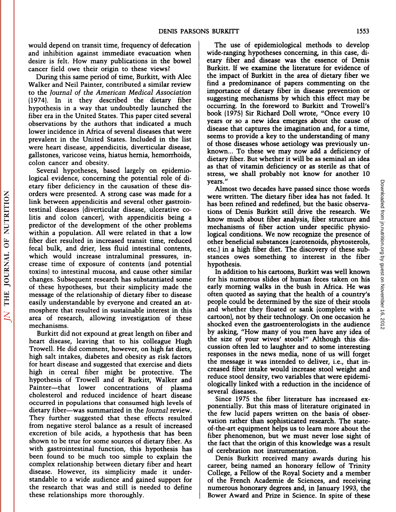DENIS PARSONS<br>would depend on transit time, frequency of defecation<br>and inhibition against immediate evacuation when<br>w DENIS PARSONS I<br>would depend on transit time, frequency of defecation<br>and inhibition against immediate evacuation when<br>desire is felt. How many publications in the bowel<br>etc. DENIS PARSON<br>would depend on transit time, frequency of defecation<br>and inhibition against immediate evacuation when<br>desire is felt. How many publications in the bowel<br>cancer field owe their origin to these views? DENIS PAI<br>would depend on transit time, frequency of defecation<br>and inhibition against immediate evacuation when<br>desire is felt. How many publications in the bowe!<br>cancer field owe their origin to these views?<br>During this Nuld depend on transit time, frequency of defecation<br>
d inhibition against immediate evacuation when<br>
sire is felt. How many publications in the bowel<br>
et<br>
nor field owe their origin to these views?<br>
During this same perio Would depend on transit time, frequency of defecation<br>
and inhibition against immediate evacuation when<br>
desire is felt. How many publications in the bowel<br>
cancer field owe their origin to these views?<br>
During this same p

and inhibition against immediate evacuation when<br>
desire is felt. How many publications in the bowel<br>
cancer field owe their origin to these views?<br>
During this same period of time, Burkitt, with Alec<br>
Walker and Neil Pain desire is felt. How many publications in the bowel<br>cancer field owe their origin to these views?<br>During this same period of time, Burkitt, with Alec<br>Walker and Neil Painter, contributed a similar review<br>to the *Journal of* cancer field owe their origin to these views?<br>
During this same period of time, Burkitt, with Alec<br>
Walker and Neil Painter, contributed a similar review<br>
to the *Journal of the American Medical Association*<br>
(1974). In it During this same period of time, Burkitt, with Alec<br>Walker and Neil Painter, contributed a similar review<br>to the *Journal of the American Medical Association*<br>(1974). In it they described the dietary fiber<br>hypothesis in a Walker and Neil Painter, contributed a similar review<br>
to the *Journal of the American Medical Association*<br>
(1974). In it they described the dietary fiber<br>
hypothesis in a way that undoubtedly launched the<br>
fiber era in t to the *Journal of the American Medical Association*<br>
(1974). In it they described the dietary fiber<br>
hypothesis in a way that undoubtedly launched the<br>
fiber era in the United States. This paper cited several<br>
observation (1974). In it they described the dietary fiber<br>hypothesis in a way that undoubtedly launched the<br>fiber era in the United States. This paper cited several<br>observations by the authors that indicated a much<br>lower incidence i hypothesis in a way that undoubtedly launched the<br>fiber era in the United States. This paper cited several<br>observations by the authors that indicated a much<br>lower incidence in Africa of several diseases that were<br>prevalent fiber era in the United States. This paper cited several<br>observations by the authors that indicated a much<br>lower incidence in Africa of several diseases that were<br>prevalent in the United States. Included in the list<br>were h observations by the authors<br>lower incidence in Africa of se<br>prevalent in the United Stat<br>were heart disease, appendici<br>gallstones, varicose veins, hia<br>colon cancer and obesity.<br>Several hypotheses, based ver incidence in Africa of several diseases that wer<br>evalent in the United States. Included in the list<br>re heart disease, appendicitis, diverticular disease<br>lstones, varicose veins, hiatus hernia, hemorrhoids<br>lon cancer an prevalent in the United States. Included in the list<br>were heart disease, appendicitis, diverticular disease,<br>gallstones, varicose veins, hiatus hernia, hemorrhoids,<br>colon cancer and obesity.<br>Several hypotheses, based large

were heart disease, appendicitis, diverticular disease,<br>gallstones, varicose veins, hiatus hernia, hemorrhoids,<br>colon cancer and obesity.<br>Several hypotheses, based largely on epidemio-<br>logical evidence, concerning the pote gallstones, varicose veins, hiatus hernia, hemorrhoids,<br>
colon cancer and obesity.<br>
Several hypotheses, based largely on epidemio-<br>
logical evidence, concerning the potential role of di-<br>
etary fiber deficiency in the caus colon cancer and obesity.<br>
Several hypotheses, based largely on epidemio-<br>
logical evidence, concerning the potential role of di-<br>
etary fiber deficiency in the causation of these dis-<br>
orders were presented. A strong case Several hypotheses, based largely on epidemio-<br>logical evidence, concerning the potential role of di-<br>etary fiber deficiency in the causation of these dis-<br>orders were presented. A strong case was made for a<br>link between a logical evidence, concerning the potential role of di-<br>etary fiber deficiency in the causation of these dis-<br>orders were presented. A strong case was made for a<br>link between appendicitis and several other gastroin-<br>testina etary fiber deficiency in the causation of these dis-<br>orders were presented. A strong case was made for a<br>link between appendicitis and several other gastroin-<br>testinal diseases (diverticular disease, ulcerative co-<br>litis orders were presented. A strong case was made for a<br>link between appendicitis and several other gastroin-<br>testinal diseases (diverticular disease, ulcerative co-<br>litis and colon cancer), with appendicitis being a<br>predictor Final diseases (diverticular disease, ulcerative co-<br>tistinal diseases (diverticular disease, ulcerative co-<br>litis and colon cancer), with appendicitis being a<br>predictor of the development of the other problems<br>within a po testinal diseases (diverticular disease, ulcerative co-<br>litis and colon cancer), with appendicitis being a<br>predictor of the development of the other problems<br>within a population. All were related in that a low<br>fiber diet r It is and colon cancer), with appendicitis being a<br>predictor of the development of the other problems<br>within a population. All were related in that a low<br>fiber diet resulted in increased transit time, reduced<br>fecal bulk, a predictor of the development of the other problems<br>within a population. All were related in that a low<br>fiber diet resulted in increased transit time, reduced<br>fecal bulk, and drier, less fluid intestinal contents,<br>which wou within a population. All were related in that a low<br>fiber diet resulted in increased transit time, reduced<br>fecal bulk, and drier, less fluid intestinal contents,<br>which would increase intraluminal pressures, in-<br>crease time Fraction increased transit time, reduced<br>fecal bulk, and drier, less fluid intestinal contents,<br>which would increase intraluminal pressures, in-<br>crease time of exposure of contents (and potential<br>toxins) to intestinal muco which would increase intraluminal pressures, in-<br>
crease time of exposure of contents (and potential<br>
toxins) to intestinal mucosa, and cause other similar<br>
changes. Subsequent research has substantiated some<br>
of these hyp which would increase intraluminal pressures, in-<br>crease time of exposure of contents (and potential<br>toxins) to intestinal mucosa, and cause other similar<br>changes. Subsequent research has substantiated some<br>of these hypothe crease time of exposure of contents (and potential<br>toxins) to intestinal mucosa, and cause other similar<br>changes. Subsequent research has substantiated some<br>of these hypotheses, but their simplicity made the<br>message of the toxins) to intestinal mucosa, and cause other similar<br>changes. Subsequent research has substantiated some<br>of these hypotheses, but their simplicity made the<br>message of the relationship of dietary fiber to disease<br>easily un changes. Subsequent research has substantiated some<br>of these hypotheses, but their simplicity made the<br>message of the relationship of dietary fiber to disease<br>easily understandable by everyone and created an at-<br>mosphere t mechanisms. easily understandable by everyone and created an at-<br>
mosphere that resulted in sustainable interest in this<br>
area of research, allowing investigation of these<br>
mechanisms.<br>
Burkitt did not expound at great length on fiber

THE JOURNAL OF NUTRITION

 $\overline{N}$ 

mosphere that resulted in sustainable interest in this<br>area of research, allowing investigation of these<br>mechanisms.<br>Burkitt did not expound at great length on fiber and<br>heart disease, leaving that to his colleague Hugh<br>Tr area of research, allowing investigation of these<br>mechanisms.<br>Burkitt did not expound at great length on fiber and<br>heart disease, leaving that to his colleague Hugh<br>Trowell. He did comment, however, on high fat diets,<br>high mechanisms.<br>
Burkitt did not expound at great length on fiber and<br>
heart disease, leaving that to his colleague Hugh<br>
Trowell. He did comment, however, on high fat diets,<br>
high salt intakes, diabetes and obesity as risk fa Burkitt did not expound at great length on fiber and<br>heart disease, leaving that to his colleague Hugh<br>Trowell. He did comment, however, on high fat diets,<br>high salt intakes, diabetes and obesity as risk factors<br>for heart heart disease, leaving that to his colleague Hugh<br>
Trowell. He did comment, however, on high fat diets,<br>
high salt intakes, diabetes and obesity as risk factors<br>
for heart disease and suggested that exercise and diets<br>
hig Trowell. He did comment, however, on high fat diets,<br>high salt intakes, diabetes and obesity as risk factors<br>for heart disease and suggested that exercise and diets<br>high in cereal fiber might be protective. The<br>hypothesis high salt intakes, diabetes and obesity as risk factors<br>for heart disease and suggested that exercise and diets<br>high in cereal fiber might be protective. The<br>hypothesis of Trowell and of Burkitt, Walker and<br>Painter—that lo for heart disease and suggested that exercise and diets<br>high in cereal fiber might be protective. The<br>hypothesis of Trowell and of Burkitt, Walker and<br>Painter—that lower concentrations of plasma<br>cholesterol and reduced inc high in cereal fiber might be protective. The<br>hypothesis of Trowell and of Burkitt, Walker and<br>Painter—that lower concentrations of plasma<br>cholesterol and reduced incidence of heart disease<br>occurred in populations that con hypothesis of Trowell and of Burkitt, Walker and<br>
Painter—that lower concentrations of plasma<br>
cholesterol and reduced incidence of heart disease<br>
occurred in populations that consumed high levels of<br>
dietary fiber—was sum Painter—that lower concentrations of plasma<br>
cholesterol and reduced incidence of heart disease<br>
occurred in populations that consumed high levels of<br>
dietary fiber—was summarized in the *Journal* review.<br>
They further sug cholesterol and reduced incidence of heart disease<br>
occurred in populations that consumed high levels of<br>
dietary fiber—was summarized in the *Journal* review.<br>
They further suggested that these effects resulted<br>
from nega occurred in populations that consumed high levels of<br>dietary fiber—was summarized in the *Journal* review.<br>They further suggested that these effects resulted<br>from negative sterol balance as a result of increased<br>excretion dietary fiber—was summarized in the Journal review.<br>
They further suggested that these effects resulted<br>
from negative sterol balance as a result of increased<br>
excretion of bile acids, a hypothesis that has been<br>
shown to They further suggested that these effects resulted<br>from negative sterol balance as a result of increased<br>excretion of bile acids, a hypothesis that has been<br>shown to be true for some sources of dietary fiber. As<br>with gastr from negative sterol balance as a result of increased<br>excretion of bile acids, a hypothesis that has been<br>shown to be true for some sources of dietary fiber. As<br>with gastrointestinal function, this hypothesis has<br>been foun excretion of bile acids, a hypothesis that has been<br>shown to be true for some sources of dietary fiber. As<br>with gastrointestinal function, this hypothesis has<br>been found to be much too simple to explain the<br>complex relatio shown to be true for some sources of dietary fiber. As<br>with gastrointestinal function, this hypothesis has<br>been found to be much too simple to explain the<br>complex relationship between dietary fiber and heart<br>disease. Howev with gastrointestinal function, this hypothesis has<br>been found to be much too simple to explain the<br>complex relationship between dietary fiber and heart<br>disease. However, its simplicity made it under-<br>standable to a wide a been found to be much too simple to explain the complex relationship between dietary fiber and heart disease. However, its simplicity made it understandable to a wide audience and gained support for the research that was a

DENIS PARSONS BURKITT 1553 URKITT<br>The use of epidemiological methods to develop<br>de-ranging hypotheses concerning, in this case, di-S BURKITT<br>The use of epidemiological methods to develop<br>wide-ranging hypotheses concerning, in this case, di-<br>etary fiber and disease was the essence of Denis etary fiber 1553<br>
Fine use of epidemiological methods to develop<br>
wide-ranging hypotheses concerning, in this case, di-<br>
etary fiber and disease was the essence of Denis<br>
Burkitt. If we examine the literature for evidence 1553<br>The use of epidemiological methods to develop<br>wide-ranging hypotheses concerning, in this case, di-<br>etary fiber and disease was the essence of Denis<br>Burkitt. If we examine the literature for evidence of<br>the impact of The use of epidemiological methods to develop<br>wide-ranging hypotheses concerning, in this case, di-<br>etary fiber and disease was the essence of Denis<br>Burkitt. If we examine the literature for evidence of<br>the impact of Burki The use of epidemiological methods to develop<br>wide-ranging hypotheses concerning, in this case, di-<br>etary fiber and disease was the essence of Denis<br>Burkitt. If we examine the literature for evidence of<br>the impact of Burki wide-ranging hypotheses concerning, in this case, di-<br>etary fiber and disease was the essence of Denis<br>Burkitt. If we examine the literature for evidence of<br>the impact of Burkitt in the area of dietary fiber we<br>find a pred etary fiber and disease was the essence of Denis<br>Burkitt. If we examine the literature for evidence of<br>the impact of Burkitt in the area of dietary fiber we<br>find a predominance of papers commenting on the<br>importance of die be impact of Burkitt in the area of dietary fiber we<br>find a predominance of papers commenting on the<br>importance of dietary fiber in disease prevention or<br>suggesting mechanisms by which this effect may be<br>occurring. In the find a predominance of papers commenting on the<br>importance of dietary fiber in disease prevention or<br>suggesting mechanisms by which this effect may be<br>occurring. In the foreword to Burkitt and Trowell's<br>book (1975) Sir Ric importance of dietary fiber in disease prevention or<br>suggesting mechanisms by which this effect may be<br>occurring. In the foreword to Burkitt and Trowell's<br>book (1975) Sir Richard Doll wrote, "Once every 10<br>years or so a ne suggesting mechanisms by which this effect may be<br>occurring. In the foreword to Burkitt and Trowell's<br>book (1975) Sir Richard Doll wrote, "Once every 10<br>years or so a new idea emerges about the cause of<br>disease that captur occurring. In the foreword to Burkitt and Trowell's<br>book (1975) Sir Richard Doll wrote, "Once every 10<br>years or so a new idea emerges about the cause of<br>disease that captures the imagination and, for a time,<br>seems to provi book (1975) Sir Richard Doll wrote, "Once every 10<br>years or so a new idea emerges about the cause of<br>disease that captures the imagination and, for a time,<br>seems to provide a key to the understanding of many<br>of those disea years or so a new idea emerges about the cause of<br>disease that captures the imagination and, for a time,<br>seems to provide a key to the understanding of many<br>of those diseases whose aetiology was previously un-<br>known... To disease that captures the imagination and, for a time,<br>seems to provide a key to the understanding of many<br>of those diseases whose aetiology was previously un-<br>known... To these we may now add a deficiency of<br>dietary fiber seems to provide a key to the understanding of many<br>of those diseases whose aetiology was previously un-<br>known... To these we may now add a deficiency of<br>dietary fiber. But whether it will be as seminal an idea<br>as that of years." Now the set of these we may now add a deficiency of the start of vitamin deficiency or as sterile as that of ess, we shall probably not know for another 10 ars."<br>Almost two decades have passed since those words<br>re written dietary fiber. But whether it will be as seminal an idea<br>as that of vitamin deficiency or as sterile as that of<br>stress, we shall probably not know for another 10<br>years."<br>Almost two decades have passed since those words<br>wer

as that of vitamin deficiency or as sterile as that of<br>stress, we shall probably not know for another 10<br>years."<br>Almost two decades have passed since those words<br>were written. The dietary fiber idea has not faded. It<br>has stress, we shall probably not know for another 10<br>years."<br>Almost two decades have passed since those words<br>were written. The dietary fiber idea has not faded. It<br>has been refined and redefined, but the basic observa-<br>tions years."<br>
Almost two decades have passed since those words<br>
were written. The dietary fiber idea has not faded. It<br>
has been refined and redefined, but the basic observa-<br>
tions of Denis Burkitt still drive the research. W Almost two decades have passed since those words<br>were written. The dietary fiber idea has not faded. It<br>has been refined and redefined, but the basic observa-<br>tions of Denis Burkitt still drive the research. We<br>know much were written. The dietary fiber idea has not faded. It<br>has been refined and redefined, but the basic observa-<br>tions of Denis Burkitt still drive the research. We<br>know much about fiber analysis, fiber structure and<br>mechani has been refined and redefined, but the basic observa-<br>tions of Denis Burkitt still drive the research. We<br>know much about fiber analysis, fiber structure and<br>mechanisms of fiber action under specific physio-<br>logical condi tions of Denis Burkitt still drive the research. We<br>
know much about fiber analysis, fiber structure and<br>
mechanisms of fiber action under specific physio-<br>
logical conditions. We now recognize the presence of<br>
other benef know much about fiber analysis, fiber structure and<br>mechanisms of fiber action under specific physio-<br>logical conditions. We now recognize the presence of<br>other beneficial substances (carotenoids, phytosterols,<br>etc.) in a hypothesis. General conditions. We now recognize the presence of<br>
The presence of<br>
In a high fiber diet. The discovery of these sub-<br>  $\frac{1}{3}$ <br>
In a high fiber diet. The discovery of these sub-<br>
noces owes something to interest in t other beneficial substances (carotenoids, phytosterols,<br>etc.) in a high fiber diet. The discovery of these sub-<br>stances owes something to interest in the fiber  $\frac{6}{5}$ <br>hypothesis.<br>In addition to his cartoons, Burkitt wa

easily understandable by everyone and created an at-<br>mosphere that resulted in sustainable interest in this<br>area of research, allowing investigation of these<br>mechanisms.<br>Burkitt did not expound at great length on fiber and etc.) in a high fiber diet. The discovery of these sub-<br>stances owes something to interest in the fiber<br>hypothesis.<br>In addition to his cartoons, Burkitt was well known<br>for his numerous slides of human feces taken on his<br>e hypothesis.<br>
In addition to his cartoons, Burkitt was well known<br>
for his numerous slides of human feces taken on his<br>
early morning walks in the bush in Africa. He was<br>
often quoted as saying that the health of a country In addition to his cartoons, Burkitt was well known<br>for his numerous slides of human feces taken on his<br>early morning walks in the bush in Africa. He was<br>often quoted as saying that the health of a country's<br>people could for his numerous slides of human feces taken on his<br>early morning walks in the bush in Africa. He was<br>often quoted as saying that the health of a country's<br>people could be determined by the size of their stools<br>and whethe early morning walks in the bush in Africa. He was<br>often quoted as saying that the health of a country's<br>people could be determined by the size of their stools<br>and whether they floated or sank (complete with a<br>cartoon), no before the size of ying that the heath of a bounty of people could be determined by the size of their stools<br>and whether they floated or sank (complete with a cartoon), not by their technology. On one occasion he<br>shocked and whether they floated or sank (complete with a<br>cartoon), not by their technology. On one occasion he<br>shocked even the gastroenterologists in the audience<br>by asking, "How many of you men have any idea of<br>the size of you cartoon), not by their technology. On one occasion he<br>shocked even the gastroenterologists in the audience<br>by asking, "How many of you men have any idea of<br>the size of your wives' stools?" Although this dis-<br>cussion often years."<br>
Mmost two decades have passed since those words<br>
were written. The dietary fiber idea has not faded. It<br>
has been refined and redefined, but the basic observa-<br>
tions of Denis Burkitt still drive the research. We<br> by asking, "How many of you men have any idea of<br>the size of your wives' stools?" Although this dis-<br>cussion often led to laughter and to some interesting<br>responses in the news media, none of us will forget<br>the message it the size of your wives' stools?" Although this discussion often led to laughter and to some interestinesponses in the news media, none of us will forge the message it was intended to deliver, i.e., that increased fiber int cussion often led to laughter and to some interesting<br>responses in the news media, none of us will forget<br>the message it was intended to deliver, i.e., that in-<br>creased fiber intake would increase stool weight and<br>reduce s responses in the ne<br>the message it was<br>creased fiber intake<br>reduce stool density<br>ologically linked wi<br>several diseases.<br>Since 1975 the Exercise it was intended to deliver, i.e., that in-<br>ased fiber intake would increase stool weight and<br>luce stool density, two variables that were epidemi-<br>gically linked with a reduction in the incidence of<br>reral diseases. creased fiber intake would increase stool weight and<br>reduce stool density, two variables that were epidemi-<br>ologically linked with a reduction in the incidence of<br>several diseases.<br>Since 1975 the fiber literature has incre

reduce stool density, two variables that were epidemi-<br>ologically linked with a reduction in the incidence of<br>several diseases.<br>Since 1975 the fiber literature has increased ex-<br>ponentially. But this mass of literature ori ologically linked with a reduction in the incidence of several diseases.<br>Since 1975 the fiber literature has increased exponentially. But this mass of literature originated in the few lucid papers written on the basis of o several diseases.<br>
Since 1975 the fiber literature has increased ex-<br>
ponentially. But this mass of literature originated in<br>
the few lucid papers written on the basis of obser-<br>
vation rather than sophisticated research. Since 1975 the fiber literature has increased ex-<br>ponentially. But this mass of literature originated in<br>the few lucid papers written on the basis of obser-<br>vation rather than sophisticated research. The state-<br>of-the-art ponentially. But this mass of literature originated in<br>the few lucid papers written on the basis of obser-<br>vation rather than sophisticated research. The state-<br>of-the-art equipment helps us to learn more about the<br>fiber p the few lucid papers written on the<br>vation rather than sophisticated rese<br>of-the-art equipment helps us to learn<br>fiber phenomenon, but we must nev<br>the fact that the origin of this knowle<br>of cerebration not instrumentation. tion rather than sophisticated research. The state-<br>the-art equipment helps us to learn more about the<br>er phenomenon, but we must never lose sight of<br>e fact that the origin of this knowledge was a result<br>cerebration not in of-the-art equipment helps us to learn more about the<br>fiber phenomenon, but we must never lose sight of<br>the fact that the origin of this knowledge was a result<br>of cerebration not instrumentation.<br>Denis Burkitt received man

fiber phenomenon, but we must never lose sight of<br>the fact that the origin of this knowledge was a result<br>of cerebration not instrumentation.<br>Denis Burkitt received many awards during his<br>career, being named an honorary fe the fact that the origin of this knowledge was a result<br>of cerebration not instrumentation.<br>Denis Burkitt received many awards during his<br>career, being named an honorary fellow of Trinity<br>College, a Fellow of the Royal Soc of cerebration not instrumentation.<br>
Denis Burkitt received many awards during his<br>
career, being named an honorary fellow of Trinity<br>
College, a Fellow of the Royal Society and a member<br>
of the French Academie de Sciences Denis Burkitt received many awards during his<br>career, being named an honorary fellow of Trinity<br>College, a Fellow of the Royal Society and a member<br>of the French Academie de Sciences, and receiving<br>numerous honorary degree